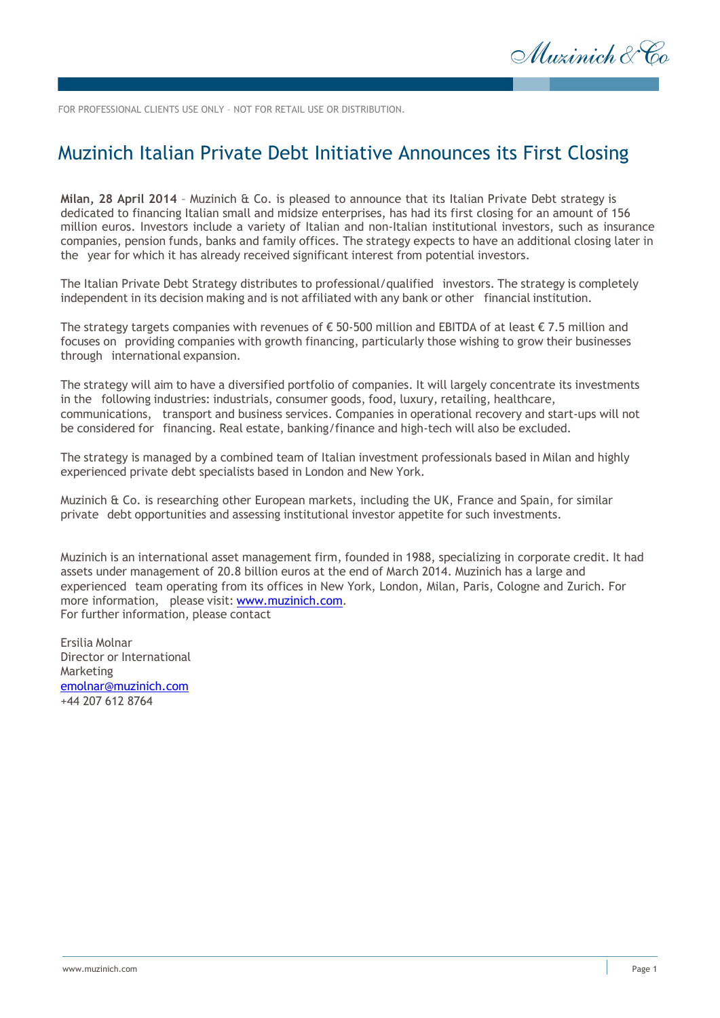Muzinich & Co

FOR PROFESSIONAL CLIENTS USE ONLY – NOT FOR RETAIL USE OR DISTRIBUTION.

## Muzinich Italian Private Debt Initiative Announces its First Closing

**Milan, 28 April 2014** – Muzinich & Co. is pleased to announce that its Italian Private Debt strategy is dedicated to financing Italian small and midsize enterprises, has had its first closing for an amount of 156 million euros. Investors include a variety of Italian and non-Italian institutional investors, such as insurance companies, pension funds, banks and family offices. The strategy expects to have an additional closing later in the year for which it has already received significant interest from potential investors.

The Italian Private Debt Strategy distributes to professional/qualified investors. The strategy is completely independent in its decision making and is not affiliated with any bank or other financial institution.

The strategy targets companies with revenues of € 50-500 million and EBITDA of at least € 7.5 million and focuses on providing companies with growth financing, particularly those wishing to grow their businesses through international expansion.

The strategy will aim to have a diversified portfolio of companies. It will largely concentrate its investments in the following industries: industrials, consumer goods, food, luxury, retailing, healthcare, communications, transport and business services. Companies in operational recovery and start-ups will not be considered for financing. Real estate, banking/finance and high-tech will also be excluded.

The strategy is managed by a combined team of Italian investment professionals based in Milan and highly experienced private debt specialists based in London and New York.

Muzinich & Co. is researching other European markets, including the UK, France and Spain, for similar private debt opportunities and assessing institutional investor appetite for such investments.

Muzinich is an international asset management firm, founded in 1988, specializing in corporate credit. It had assets under management of 20.8 billion euros at the end of March 2014. Muzinich has a large and experienced team operating from its offices in New York, London, Milan, Paris, Cologne and Zurich. For more information, please visit: [www.muzinich.com.](http://www.muzinich.com/) For further information, please contact

Ersilia Molnar Director or International Marketing [emolnar@muzinich.com](mailto:emolnar@muzinich.com) +44 207 612 8764